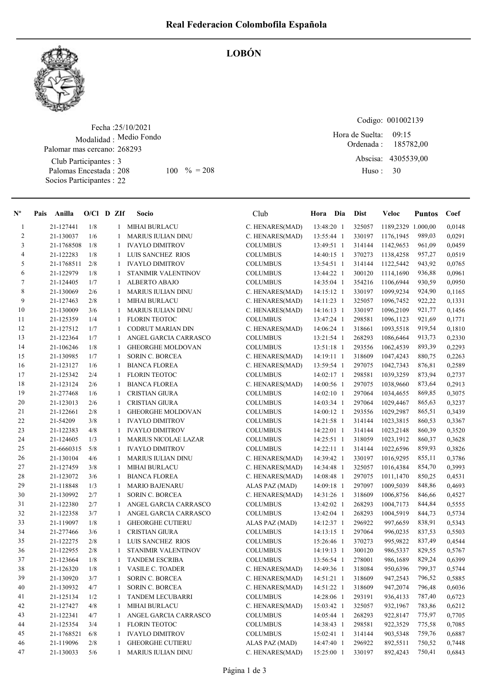

LOBÓN

Fecha : 25/10/2021 Modalidad : Medio Fondo Club Participantes : 3 Palomar mas cercano: 268293

Palomas Encestada : Socios Participantes : 22 208 100 % = 208 Huso: 30

Codigo: 001002139 Ordenada : 09:15 Hora de Suelta: 185782,00

Abscisa: 4305539,00 Huso :

| $N^{\circ}$    | Pais | Anilla     | $O/Cl$ D ZIf |              | Socio                       | Club            | Hora Dia     | <b>Dist</b> | Veloc              | <b>Puntos</b> | Coef   |
|----------------|------|------------|--------------|--------------|-----------------------------|-----------------|--------------|-------------|--------------------|---------------|--------|
| -1             |      | 21-127441  | 1/8          | 1            | <b>MIHAI BURLACU</b>        | C. HENARES(MAD) | 13:48:20 1   | 325057      | 1189,2329 1.000,00 |               | 0,0148 |
| $\overline{c}$ |      | 21-130037  | 1/6          | 1            | <b>MARIUS IULIAN DINU</b>   | C. HENARES(MAD) | 13:55:44 1   | 330197      | 1176,1945          | 989,03        | 0,0291 |
| 3              |      | 21-1768508 | 1/8          | 1            | <b>IVAYLO DIMITROV</b>      | <b>COLUMBUS</b> | 13:49:51 1   | 314144      | 1142,9653          | 961,09        | 0,0459 |
| 4              |      | 21-122283  | 1/8          | 1            | LUIS SANCHEZ RIOS           | <b>COLUMBUS</b> | 14:40:15 1   | 370273      | 1138,4258          | 957,27        | 0,0519 |
| 5              |      | 21-1768511 | 2/8          | 1            | <b>IVAYLO DIMITROV</b>      | <b>COLUMBUS</b> | 13:54:51 1   | 314144      | 1122,5442          | 943,92        | 0,0765 |
| 6              |      | 21-122979  | 1/8          | -1           | STANIMIR VALENTINOV         | <b>COLUMBUS</b> | 13:44:22 1   | 300120      | 1114,1690          | 936,88        | 0,0961 |
| 7              |      | 21-124405  | 1/7          | 1            | <b>ALBERTO ABAJO</b>        | <b>COLUMBUS</b> | 14:35:04 1   | 354216      | 1106,6944          | 930,59        | 0,0950 |
| $\,8\,$        |      | 21-130069  | 2/6          | 1            | <b>MARIUS IULIAN DINU</b>   | C. HENARES(MAD) | 14:15:12 1   | 330197      | 1099,9234          | 924,90        | 0,1165 |
| 9              |      | 21-127463  | 2/8          | 1            | <b>MIHAI BURLACU</b>        | C. HENARES(MAD) | 14:11:23 1   | 325057      | 1096,7452          | 922,22        | 0,1331 |
| 10             |      | 21-130009  | 3/6          | 1            | <b>MARIUS IULIAN DINU</b>   | C. HENARES(MAD) | 14:16:13 1   | 330197      | 1096,2109          | 921,77        | 0,1456 |
| 11             |      | 21-125359  | 1/4          | 1            | <b>FLORIN TEOTOC</b>        | <b>COLUMBUS</b> | 13:47:24 1   | 298581      | 1096,1123          | 921,69        | 0,1771 |
| 12             |      | 21-127512  | 1/7          | 1            | <b>CODRUT MARIAN DIN</b>    | C. HENARES(MAD) | 14:06:24 1   | 318661      | 1093,5518          | 919,54        | 0,1810 |
| 13             |      | 21-122364  | 1/7          | 1            | ANGEL GARCIA CARRASCO       | <b>COLUMBUS</b> | 13:21:54 1   | 268293      | 1086,6464          | 913,73        | 0,2330 |
| 14             |      | 21-106246  | 1/8          | 1            | <b>GHEORGHE MOLDOVAN</b>    | <b>COLUMBUS</b> | $13:51:18$ 1 | 293556      | 1062,4539          | 893,39        | 0,2293 |
| 15             |      | 21-130985  | 1/7          | 1            | <b>SORIN C. BORCEA</b>      | C. HENARES(MAD) | 14:19:11 1   | 318609      | 1047,4243          | 880,75        | 0,2263 |
| 16             |      | 21-123127  | 1/6          | 1            | <b>BIANCA FLOREA</b>        | C. HENARES(MAD) | 13:59:54 1   | 297075      | 1042,7343          | 876,81        | 0,2589 |
| 17             |      | 21-125342  | 2/4          | 1            | <b>FLORIN TEOTOC</b>        | <b>COLUMBUS</b> | $14:02:17$ 1 | 298581      | 1039,3259          | 873,94        | 0,2737 |
| 18             |      | 21-123124  | 2/6          | 1            | <b>BIANCA FLOREA</b>        | C. HENARES(MAD) | 14:00:56 1   | 297075      | 1038,9660          | 873,64        | 0,2913 |
| 19             |      | 21-277468  | 1/6          | 1            | <b>CRISTIAN GIURA</b>       | <b>COLUMBUS</b> | 14:02:10 1   | 297064      | 1034,4655          | 869,85        | 0,3075 |
| 20             |      | 21-123013  | 2/6          | 1            | <b>CRISTIAN GIURA</b>       | <b>COLUMBUS</b> | 14:03:34 1   | 297064      | 1029,4467          | 865,63        | 0,3237 |
| 21             |      | 21-122661  | 2/8          | 1            | <b>GHEORGHE MOLDOVAN</b>    | <b>COLUMBUS</b> | 14:00:12 1   | 293556      | 1029,2987          | 865,51        | 0,3439 |
| 22             |      | 21-54209   | 3/8          | 1            | <b>IVAYLO DIMITROV</b>      | <b>COLUMBUS</b> | 14:21:58 1   | 314144      | 1023,3815          | 860,53        | 0,3367 |
| 23             |      | 21-122383  | 4/8          | 1            | <b>IVAYLO DIMITROV</b>      | <b>COLUMBUS</b> | $14:22:01$ 1 | 314144      | 1023,2148          | 860,39        | 0,3520 |
| 24             |      | 21-124605  | 1/3          | 1            | <b>MARIUS NICOLAE LAZAR</b> | <b>COLUMBUS</b> | 14:25:51 1   | 318059      | 1023,1912          | 860,37        | 0,3628 |
| 25             |      | 21-6660315 | 5/8          | 1            | <b>IVAYLO DIMITROV</b>      | <b>COLUMBUS</b> | 14:22:11 1   | 314144      | 1022,6596          | 859,93        | 0,3826 |
| 26             |      | 21-130104  | 4/6          | 1            | <b>MARIUS IULIAN DINU</b>   | C. HENARES(MAD) | 14:39:42 1   | 330197      | 1016,9295          | 855,11        | 0,3786 |
| 27             |      | 21-127459  | 3/8          | 1            | <b>MIHAI BURLACU</b>        | C. HENARES(MAD) | 14:34:48 1   | 325057      | 1016,4384          | 854,70        | 0,3993 |
| 28             |      | 21-123072  | 3/6          | 1            | <b>BIANCA FLOREA</b>        | C. HENARES(MAD) | 14:08:48 1   | 297075      | 1011,1470          | 850,25        | 0,4531 |
| 29             |      | 21-118848  | 1/3          | 1            | <b>MARIO BAJENARU</b>       | ALAS PAZ (MAD)  | 14:09:18 1   | 297097      | 1009,5039          | 848,86        | 0,4693 |
| 30             |      | 21-130992  | 2/7          | -1           | <b>SORIN C. BORCEA</b>      | C. HENARES(MAD) | 14:31:26 1   | 318609      | 1006,8756          | 846,66        | 0,4527 |
| 31             |      | 21-122380  | 2/7          | 1            | ANGEL GARCIA CARRASCO       | <b>COLUMBUS</b> | 13:42:02 1   | 268293      | 1004,7173          | 844,84        | 0,5555 |
| 32             |      | 21-122358  | 3/7          | 1            | ANGEL GARCIA CARRASCO       | <b>COLUMBUS</b> | 13:42:04 1   | 268293      | 1004,5919          | 844,73        | 0,5734 |
| 33             |      | 21-119097  | 1/8          | 1            | <b>GHEORGHE CUTIERU</b>     | ALAS PAZ (MAD)  | 14:12:37 1   | 296922      | 997,6659           | 838,91        | 0,5343 |
| 34             |      | 21-277466  | 3/6          | 1            | <b>CRISTIAN GIURA</b>       | <b>COLUMBUS</b> | 14:13:15 1   | 297064      | 996,0235           | 837,53        | 0,5503 |
| 35             |      | 21-122275  | 2/8          | 1            | LUIS SANCHEZ RIOS           | <b>COLUMBUS</b> | 15:26:46 1   | 370273      | 995,9822           | 837,49        | 0,4544 |
| 36             |      | 21-122955  | 2/8          |              | STANIMIR VALENTINOV         | <b>COLUMBUS</b> | 14:19:13 1   | 300120      | 986,5337           | 829,55        | 0,5767 |
| 37             |      | 21-123664  | 1/8          | 1            | <b>TANDEM ESCRIBA</b>       | <b>COLUMBUS</b> | 13:56:54 1   | 278001      | 986,1689           | 829,24        | 0,6399 |
| 38             |      | 21-126320  | 1/8          | $\mathbf{1}$ | VASILE C. TOADER            | C. HENARES(MAD) | 14:49:36 1   | 318084      | 950,6396           | 799,37        | 0,5744 |
| 39             |      | 21-130920  | 3/7          | 1            | <b>SORIN C. BORCEA</b>      | C. HENARES(MAD) | 14:51:21 1   | 318609      | 947,2543           | 796,52        | 0,5885 |
| 40             |      | 21-130932  | 4/7          | $\mathbf{1}$ | <b>SORIN C. BORCEA</b>      | C. HENARES(MAD) | 14:51:22 1   | 318609      | 947,2074           | 796,48        | 0,6036 |
| 41             |      | 21-125134  | 1/2          | -1           | TANDEM LECUBARRI            | <b>COLUMBUS</b> | 14:28:06 1   | 293191      | 936,4133           | 787,40        | 0,6723 |
| 42             |      | 21-127427  | 4/8          | 1            | MIHAI BURLACU               | C. HENARES(MAD) | 15:03:42 1   | 325057      | 932,1967           | 783,86        | 0,6212 |
| 43             |      | 21-122341  | 4/7          | 1            | ANGEL GARCIA CARRASCO       | <b>COLUMBUS</b> | 14:05:44 1   | 268293      | 922,8147           | 775,97        | 0,7705 |
| 44             |      | 21-125354  | 3/4          | 1            | <b>FLORIN TEOTOC</b>        | <b>COLUMBUS</b> | 14:38:43 1   | 298581      | 922,3529           | 775,58        | 0,7085 |
| 45             |      | 21-1768521 | 6/8          | $\mathbf{1}$ | <b>IVAYLO DIMITROV</b>      | <b>COLUMBUS</b> | 15:02:41 1   | 314144      | 903,5348           | 759,76        | 0,6887 |
| 46             |      | 21-119096  | 2/8          | 1            | <b>GHEORGHE CUTIERU</b>     | ALAS PAZ (MAD)  | 14:47:40 1   | 296922      | 892,5511           | 750,52        | 0,7448 |
| 47             |      | 21-130033  | 5/6          | $\mathbf{1}$ | <b>MARIUS IULIAN DINU</b>   | C. HENARES(MAD) | 15:25:00 1   | 330197      | 892,4243           | 750,41        | 0,6843 |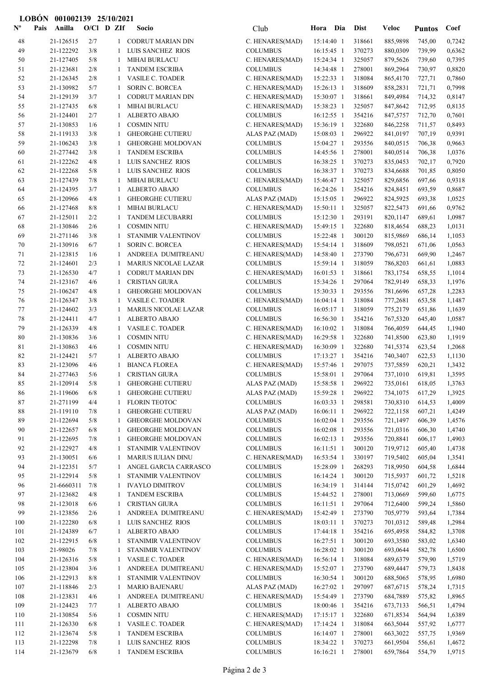|                           | <b>LOBÓN</b> | 001002139 25/10/2021   |              |        |                                                     |                                    |                          |                  |                      |                  |                  |
|---------------------------|--------------|------------------------|--------------|--------|-----------------------------------------------------|------------------------------------|--------------------------|------------------|----------------------|------------------|------------------|
| $\mathbf{N}^{\mathbf{o}}$ | Pais         | Anilla                 | $O/Cl$ D ZIf |        | Socio                                               | Club                               | Hora Dia                 | <b>Dist</b>      | <b>Veloc</b>         | <b>Puntos</b>    | Coef             |
| 48                        |              | 21-126515              | 2/7          |        | 1 CODRUT MARIAN DIN                                 | C. HENARES(MAD)                    | 15:14:40 1               | 318661           | 885,9898             | 745,00           | 0,7242           |
| 49                        |              | 21-122292              | 3/8          | 1      | LUIS SANCHEZ RIOS                                   | <b>COLUMBUS</b>                    | $16:15:45$ 1             | 370273           | 880,0309             | 739,99           | 0,6362           |
| 50                        |              | 21-127405              | 5/8          | 1      | <b>MIHAI BURLACU</b>                                | C. HENARES(MAD)                    | 15:24:34 1               | 325057           | 879,5626             | 739,60           | 0,7395           |
| 51                        |              | 21-123681              | 2/8          | 1      | <b>TANDEM ESCRIBA</b>                               | <b>COLUMBUS</b>                    | 14:34:48 1               | 278001           | 869,2964             | 730,97           | 0,8820           |
| 52                        |              | 21-126345              | 2/8          | 1      | VASILE C. TOADER                                    | C. HENARES(MAD)                    | 15:22:33 1               | 318084           | 865,4170             | 727,71           | 0,7860           |
| 53                        |              | 21-130982              | 5/7          | 1      | <b>SORIN C. BORCEA</b>                              | C. HENARES(MAD)                    | 15:26:13 1               | 318609           | 858,2831             | 721,71           | 0,7998           |
| 54                        |              | 21-129139              | 3/7          | 1      | CODRUT MARIAN DIN                                   | C. HENARES(MAD)                    | 15:30:07 1               | 318661           | 849,4984             | 714,32           | 0,8147           |
| 55                        |              | 21-127435              | 6/8          | 1      | <b>MIHAI BURLACU</b>                                | C. HENARES(MAD)                    | 15:38:23 1               | 325057           | 847,8642             | 712,95           | 0,8135           |
| 56                        |              | 21-124401              | 2/7          | 1      | ALBERTO ABAJO                                       | <b>COLUMBUS</b>                    | 16:12:55 1               | 354216           | 847,5757             | 712,70           | 0,7601           |
| 57                        |              | 21-130853              | 1/6          | 1      | <b>COSMIN NITU</b>                                  | C. HENARES(MAD)                    | 15:36:19 1               | 322680           | 846,2258             | 711,57           | 0,8493           |
| 58<br>59                  |              | 21-119133              | 3/8<br>3/8   | 1      | <b>GHEORGHE CUTIERU</b><br><b>GHEORGHE MOLDOVAN</b> | ALAS PAZ (MAD)                     | 15:08:03 1               | 296922<br>293556 | 841,0197             | 707,19           | 0,9391<br>0,9663 |
| 60                        |              | 21-106243<br>21-277442 | 3/8          | 1<br>1 | <b>TANDEM ESCRIBA</b>                               | <b>COLUMBUS</b><br><b>COLUMBUS</b> | 15:04:27 1<br>14:45:56 1 | 278001           | 840,0515<br>840,0514 | 706,38<br>706,38 | 1,0376           |
| 61                        |              | 21-122262              | 4/8          | 1      | LUIS SANCHEZ RIOS                                   | <b>COLUMBUS</b>                    | 16:38:25 1               | 370273           | 835,0453             | 702,17           | 0,7920           |
| 62                        |              | 21-122268              | 5/8          | 1      | LUIS SANCHEZ RIOS                                   | <b>COLUMBUS</b>                    | 16:38:37 1               | 370273           | 834,6688             | 701,85           | 0,8050           |
| 63                        |              | 21-127439              | 7/8          | 1      | <b>MIHAI BURLACU</b>                                | C. HENARES(MAD)                    | 15:46:47 1               | 325057           | 829,6856             | 697,66           | 0,9318           |
| 64                        |              | 21-124395              | 3/7          | 1      | ALBERTO ABAJO                                       | <b>COLUMBUS</b>                    | 16:24:26 1               | 354216           | 824,8451             | 693,59           | 0,8687           |
| 65                        |              | 21-120966              | 4/8          | 1      | <b>GHEORGHE CUTIERU</b>                             | ALAS PAZ (MAD)                     | 15:15:05 1               | 296922           | 824,5925             | 693,38           | 1,0525           |
| 66                        |              | 21-127468              | 8/8          | 1      | <b>MIHAI BURLACU</b>                                | C. HENARES(MAD)                    | $15:50:11$ 1             | 325057           | 822,5473             | 691,66           | 0,9762           |
| 67                        |              | 21-125011              | 2/2          | 1      | <b>TANDEM LECUBARRI</b>                             | <b>COLUMBUS</b>                    | 15:12:30 1               | 293191           | 820,1147             | 689,61           | 1,0987           |
| 68                        |              | 21-130846              | 2/6          | 1      | <b>COSMIN NITU</b>                                  | C. HENARES(MAD)                    | 15:49:15 1               | 322680           | 818,4654             | 688,23           | 1,0131           |
| 69                        |              | 21-271146              | 3/8          | 1      | STANIMIR VALENTINOV                                 | <b>COLUMBUS</b>                    | 15:22:48 1               | 300120           | 815,9869             | 686,14           | 1,1053           |
| 70                        |              | 21-130916              | 6/7          | 1      | <b>SORIN C. BORCEA</b>                              | C. HENARES(MAD)                    | 15:54:14 1               | 318609           | 798,0521             | 671,06           | 1,0563           |
| 71                        |              | 21-123815              | 1/6          | 1      | ANDREEA DUMITREANU                                  | C. HENARES(MAD)                    | 14:58:40 1               | 273790           | 796,6731             | 669,90           | 1,2467           |
| 72                        |              | 21-124601              | 2/3          | 1      | <b>MARIUS NICOLAE LAZAR</b>                         | <b>COLUMBUS</b>                    | 15:59:14 1               | 318059           | 786,8203             | 661,61           | 1,0883           |
| 73                        |              | 21-126530              | 4/7          | 1      | <b>CODRUT MARIAN DIN</b>                            | C. HENARES(MAD)                    | $16:01:53$ 1             | 318661           | 783,1754             | 658,55           | 1,1014           |
| 74                        |              | 21-123167              | 4/6          | 1      | <b>CRISTIAN GIURA</b>                               | <b>COLUMBUS</b>                    | 15:34:26 1               | 297064           | 782,9149             | 658,33           | 1,1976           |
| 75                        |              | 21-106247              | 4/8          | 1      | GHEORGHE MOLDOVAN                                   | <b>COLUMBUS</b>                    | 15:30:33 1               | 293556           | 781,6696             | 657,28           | 1,2283           |
| 76                        |              | 21-126347              | 3/8          | 1      | VASILE C. TOADER                                    | C. HENARES(MAD)                    | $16:04:14$ 1             | 318084           | 777,2681             | 653,58           | 1,1487           |
| 77                        |              | 21-124602              | 3/3          | 1      | <b>MARIUS NICOLAE LAZAR</b>                         | <b>COLUMBUS</b>                    | $16:05:17$ 1             | 318059           | 775,2179             | 651,86           | 1,1639           |
| 78                        |              | 21-124411              | 4/7          | 1      | <b>ALBERTO ABAJO</b>                                | <b>COLUMBUS</b>                    | 16:56:30 1               | 354216           | 767,5320             | 645,40           | 1,0587           |
| 79                        |              | 21-126339              | 4/8          | 1      | VASILE C. TOADER                                    | C. HENARES(MAD)                    | $16:10:02$ 1             | 318084           | 766,4059             | 644,45           | 1,1940           |
| 80                        |              | 21-130836              | 3/6          | 1      | <b>COSMIN NITU</b>                                  | C. HENARES(MAD)                    | 16:29:58 1               | 322680           | 741,8500             | 623,80           | 1,1919           |
| 81<br>82                  |              | 21-130863              | 4/6<br>5/7   | 1<br>1 | <b>COSMIN NITU</b><br>ALBERTO ABAJO                 | C. HENARES(MAD)<br><b>COLUMBUS</b> | 16:30:09 1<br>17:13:27 1 | 322680<br>354216 | 741,5374<br>740,3407 | 623,54           | 1,2068<br>1,1130 |
| 83                        |              | 21-124421<br>21-123096 | 4/6          | 1      | <b>BIANCA FLOREA</b>                                | C. HENARES(MAD)                    | 15:57:46 1               | 297075           | 737,5859             | 622,53<br>620,21 | 1,3432           |
| 84                        |              | 21-277463              | $5/6$        |        | 1 CRISTIAN GIURA                                    | <b>COLUMBUS</b>                    | 15:58:01 1               | 297064           | 737,1010 619,81      |                  | 1,3595           |
| 85                        |              | 21-120914              | 5/8          | 1      | <b>GHEORGHE CUTIERU</b>                             | ALAS PAZ (MAD)                     | 15:58:58 1               | 296922           | 735,0161             | 618,05           | 1,3763           |
| 86                        |              | 21-119606              | 6/8          | 1      | <b>GHEORGHE CUTIERU</b>                             | ALAS PAZ (MAD)                     | 15:59:28 1               | 296922           | 734,1075             | 617,29           | 1,3925           |
| 87                        |              | 21-271199              | 4/4          | 1      | <b>FLORIN TEOTOC</b>                                | <b>COLUMBUS</b>                    | $16:03:33$ 1             | 298581           | 730,8310             | 614,53           | 1,4009           |
| 88                        |              | 21-119110              | 7/8          | 1      | <b>GHEORGHE CUTIERU</b>                             | ALAS PAZ (MAD)                     | $16:06:11$ 1             | 296922           | 722,1158             | 607,21           | 1,4249           |
| 89                        |              | 21-122694              | 5/8          | 1      | <b>GHEORGHE MOLDOVAN</b>                            | <b>COLUMBUS</b>                    | $16:02:04$ 1             | 293556           | 721,1497             | 606,39           | 1,4576           |
| 90                        |              | 21-122657              | 6/8          | 1      | <b>GHEORGHE MOLDOVAN</b>                            | <b>COLUMBUS</b>                    | 16:02:08 1               | 293556           | 721,0316             | 606,30           | 1,4740           |
| 91                        |              | 21-122695              | 7/8          | 1      | <b>GHEORGHE MOLDOVAN</b>                            | <b>COLUMBUS</b>                    | 16:02:13 1               | 293556           | 720,8841             | 606,17           | 1,4903           |
| 92                        |              | 21-122927              | 4/8          | 1      | STANIMIR VALENTINOV                                 | <b>COLUMBUS</b>                    | $16:11:51$ 1             | 300120           | 719,9712             | 605,40           | 1,4738           |
| 93                        |              | 21-130051              | 6/6          | 1      | <b>MARIUS IULIAN DINU</b>                           | C. HENARES(MAD)                    | 16:53:54 1               | 330197           | 719,5402             | 605,04           | 1,3541           |
| 94                        |              | 21-122351              | 5/7          | 1      | ANGEL GARCIA CARRASCO                               | <b>COLUMBUS</b>                    | 15:28:09 1               | 268293           | 718,9950             | 604,58           | 1,6844           |
| 95                        |              | 21-122914              | 5/8          | 1      | STANIMIR VALENTINOV                                 | <b>COLUMBUS</b>                    | 16:14:24 1               | 300120           | 715,5937             | 601,72           | 1,5218           |
| 96                        |              | 21-6660311             | 7/8          | 1      | <b>IVAYLO DIMITROV</b>                              | <b>COLUMBUS</b>                    | 16:34:19 1               | 314144           | 715,0742             | 601,29           | 1,4692           |
| 97                        |              | 21-123682              | 4/8          | 1      | <b>TANDEM ESCRIBA</b>                               | <b>COLUMBUS</b>                    | 15:44:52 1               | 278001           | 713,0669             | 599,60           | 1,6775           |
| 98                        |              | 21-123018              | 6/6          | 1      | <b>CRISTIAN GIURA</b>                               | <b>COLUMBUS</b>                    | $16:11:51$ 1             | 297064           | 712,6400             | 599,24           | 1,5860           |
| 99                        |              | 21-123856              | 2/6          | 1      | ANDREEA DUMITREANU                                  | C. HENARES(MAD)                    | 15:42:49 1               | 273790           | 705,9779             | 593,64           | 1,7384           |
| 100<br>101                |              | 21-122280<br>21-124389 | 6/8<br>6/7   | 1<br>1 | LUIS SANCHEZ RIOS<br>ALBERTO ABAJO                  | <b>COLUMBUS</b><br><b>COLUMBUS</b> | 18:03:11 1<br>17:44:18 1 | 370273<br>354216 | 701,0312<br>695,4958 | 589,48<br>584,82 | 1,2984<br>1,3708 |
| 102                       |              | 21-122915              | 6/8          | 1      | STANIMIR VALENTINOV                                 | <b>COLUMBUS</b>                    | 16:27:51 1               | 300120           | 693,3580             | 583,02           | 1,6340           |
| 103                       |              | 21-98026               | 7/8          | 1      | STANIMIR VALENTINOV                                 | <b>COLUMBUS</b>                    | 16:28:02 1               | 300120           | 693,0644             | 582,78           | 1,6500           |
| 104                       |              | 21-126316              | 5/8          | 1      | VASILE C. TOADER                                    | C. HENARES(MAD)                    | 16:56:14 1               | 318084           | 689,6379             | 579,90           | 1,5719           |
| 105                       |              | 21-123804              | 3/6          | 1      | ANDREEA DUMITREANU                                  | C. HENARES(MAD)                    | 15:52:07 1               | 273790           | 689,4447             | 579,73           | 1,8438           |
| 106                       |              | 21-122913              | $8/8$        | 1      | STANIMIR VALENTINOV                                 | <b>COLUMBUS</b>                    | 16:30:54 1               | 300120           | 688,5065             | 578,95           | 1,6980           |
| 107                       |              | 21-118846              | 2/3          | 1      | <b>MARIO BAJENARU</b>                               | ALAS PAZ (MAD)                     | 16:27:02 1               | 297097           | 687,6715             | 578,24           | 1,7315           |
| 108                       |              | 21-123831              | 4/6          | 1      | ANDREEA DUMITREANU                                  | C. HENARES(MAD)                    | 15:54:49 1               | 273790           | 684,7889             | 575,82           | 1,8965           |
| 109                       |              | 21-124423              | 7/7          | 1      | ALBERTO ABAJO                                       | <b>COLUMBUS</b>                    | 18:00:46 1               | 354216           | 673,7133             | 566,51           | 1,4794           |
| 110                       |              | 21-130854              | 5/6          | 1      | <b>COSMIN NITU</b>                                  | C. HENARES(MAD)                    | $17:15:17$ 1             | 322680           | 671,8534             | 564,94           | 1,6389           |
| 111                       |              | 21-126330              | 6/8          | 1      | <b>VASILE C. TOADER</b>                             | C. HENARES(MAD)                    | $17:14:24$ 1             | 318084           | 663,5044             | 557,92           | 1,6777           |
| 112                       |              | 21-123674              | 5/8          | 1      | <b>TANDEM ESCRIBA</b>                               | <b>COLUMBUS</b>                    | 16:14:07 1               | 278001           | 663,3022             | 557,75           | 1,9369           |
| 113                       |              | 21-122298              | 7/8          | 1      | LUIS SANCHEZ RIOS                                   | <b>COLUMBUS</b>                    | 18:34:22 1               | 370273           | 661,9504             | 556,61           | 1,4672           |
| 114                       |              | 21-123679              | 6/8          | -1     | <b>TANDEM ESCRIBA</b>                               | <b>COLUMBUS</b>                    | $16:16:21$ 1             | 278001           | 659,7864             | 554,79           | 1,9715           |